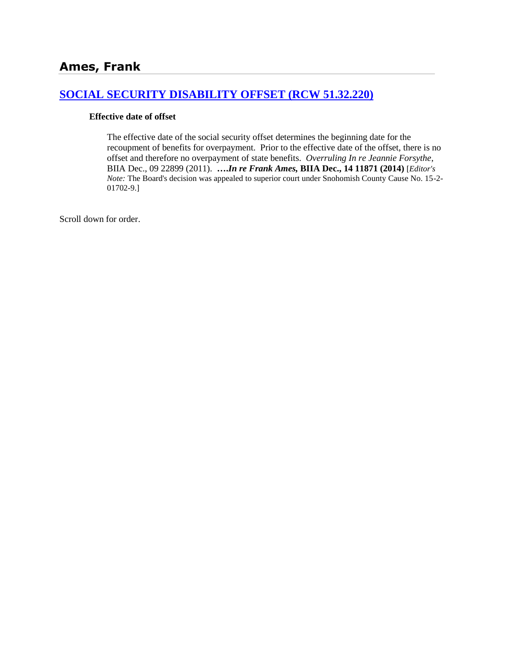# **[SOCIAL SECURITY DISABILITY OFFSET \(RCW 51.32.220\)](http://www.biia.wa.gov/SDSubjectIndex.html#SOCIAL_SECURITY_DISABILITY_OFFSET)**

#### **Effective date of offset**

The effective date of the social security offset determines the beginning date for the recoupment of benefits for overpayment. Prior to the effective date of the offset, there is no offset and therefore no overpayment of state benefits. *Overruling In re Jeannie Forsythe*, BIIA Dec., 09 22899 (2011). **….***In re Frank Ames,* **BIIA Dec., 14 11871 (2014)** [*Editor's Note:* The Board's decision was appealed to superior court under Snohomish County Cause No. 15-2- 01702-9.]

Scroll down for order.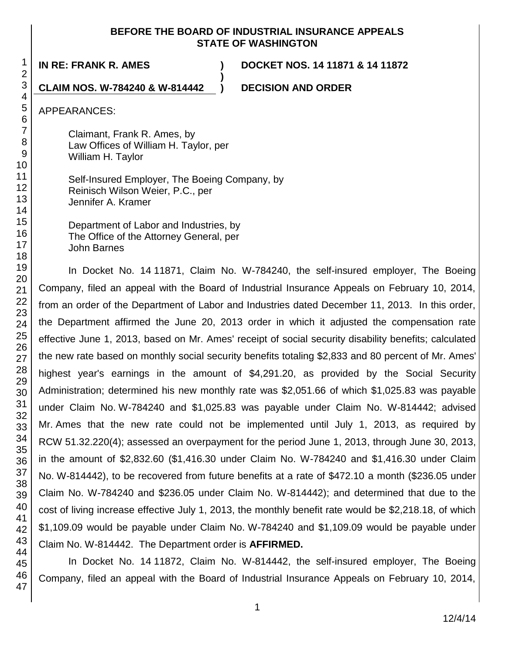### **BEFORE THE BOARD OF INDUSTRIAL INSURANCE APPEALS STATE OF WASHINGTON**

**)**

**IN RE: FRANK R. AMES ) DOCKET NOS. 14 11871 & 14 11872**

**CLAIM NOS. W-784240 & W-814442 ) DECISION AND ORDER**

APPEARANCES:

Claimant, Frank R. Ames, by Law Offices of William H. Taylor, per William H. Taylor

Self-Insured Employer, The Boeing Company, by Reinisch Wilson Weier, P.C., per Jennifer A. Kramer

Department of Labor and Industries, by The Office of the Attorney General, per John Barnes

In Docket No. 14 11871, Claim No. W-784240, the self-insured employer, The Boeing Company, filed an appeal with the Board of Industrial Insurance Appeals on February 10, 2014, from an order of the Department of Labor and Industries dated December 11, 2013. In this order, the Department affirmed the June 20, 2013 order in which it adjusted the compensation rate effective June 1, 2013, based on Mr. Ames' receipt of social security disability benefits; calculated the new rate based on monthly social security benefits totaling \$2,833 and 80 percent of Mr. Ames' highest year's earnings in the amount of \$4,291.20, as provided by the Social Security Administration; determined his new monthly rate was \$2,051.66 of which \$1,025.83 was payable under Claim No. W-784240 and \$1,025.83 was payable under Claim No. W-814442; advised Mr. Ames that the new rate could not be implemented until July 1, 2013, as required by RCW 51.32.220(4); assessed an overpayment for the period June 1, 2013, through June 30, 2013, in the amount of \$2,832.60 (\$1,416.30 under Claim No. W-784240 and \$1,416.30 under Claim No. W-814442), to be recovered from future benefits at a rate of \$472.10 a month (\$236.05 under Claim No. W-784240 and \$236.05 under Claim No. W-814442); and determined that due to the cost of living increase effective July 1, 2013, the monthly benefit rate would be \$2,218.18, of which \$1,109.09 would be payable under Claim No. W-784240 and \$1,109.09 would be payable under Claim No. W-814442. The Department order is **AFFIRMED.**

In Docket No. 14 11872, Claim No. W-814442, the self-insured employer, The Boeing Company, filed an appeal with the Board of Industrial Insurance Appeals on February 10, 2014,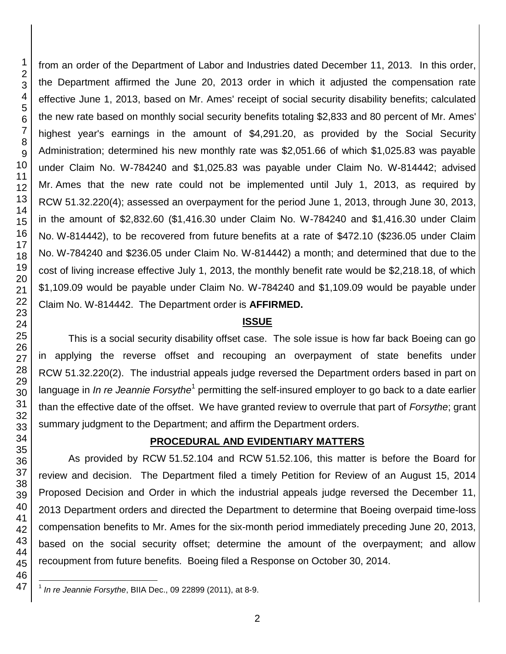$\overline{\phantom{a}}$ 

from an order of the Department of Labor and Industries dated December 11, 2013. In this order, the Department affirmed the June 20, 2013 order in which it adjusted the compensation rate effective June 1, 2013, based on Mr. Ames' receipt of social security disability benefits; calculated the new rate based on monthly social security benefits totaling \$2,833 and 80 percent of Mr. Ames' highest year's earnings in the amount of \$4,291.20, as provided by the Social Security Administration; determined his new monthly rate was \$2,051.66 of which \$1,025.83 was payable under Claim No. W-784240 and \$1,025.83 was payable under Claim No. W-814442; advised Mr. Ames that the new rate could not be implemented until July 1, 2013, as required by RCW 51.32.220(4); assessed an overpayment for the period June 1, 2013, through June 30, 2013, in the amount of \$2,832.60 (\$1,416.30 under Claim No. W-784240 and \$1,416.30 under Claim No. W-814442), to be recovered from future benefits at a rate of \$472.10 (\$236.05 under Claim No. W-784240 and \$236.05 under Claim No. W-814442) a month; and determined that due to the cost of living increase effective July 1, 2013, the monthly benefit rate would be \$2,218.18, of which \$1,109.09 would be payable under Claim No. W-784240 and \$1,109.09 would be payable under Claim No. W-814442. The Department order is **AFFIRMED.**

#### **ISSUE**

This is a social security disability offset case. The sole issue is how far back Boeing can go in applying the reverse offset and recouping an overpayment of state benefits under RCW 51.32.220(2). The industrial appeals judge reversed the Department orders based in part on language in *In re Jeannie Forsythe*<sup>1</sup> permitting the self-insured employer to go back to a date earlier than the effective date of the offset. We have granted review to overrule that part of *Forsythe*; grant summary judgment to the Department; and affirm the Department orders.

#### **PROCEDURAL AND EVIDENTIARY MATTERS**

As provided by RCW 51.52.104 and RCW 51.52.106, this matter is before the Board for review and decision. The Department filed a timely Petition for Review of an August 15, 2014 Proposed Decision and Order in which the industrial appeals judge reversed the December 11, 2013 Department orders and directed the Department to determine that Boeing overpaid time-loss compensation benefits to Mr. Ames for the six-month period immediately preceding June 20, 2013, based on the social security offset; determine the amount of the overpayment; and allow recoupment from future benefits. Boeing filed a Response on October 30, 2014.

*In re Jeannie Forsythe*, BIIA Dec., 09 22899 (2011), at 8-9.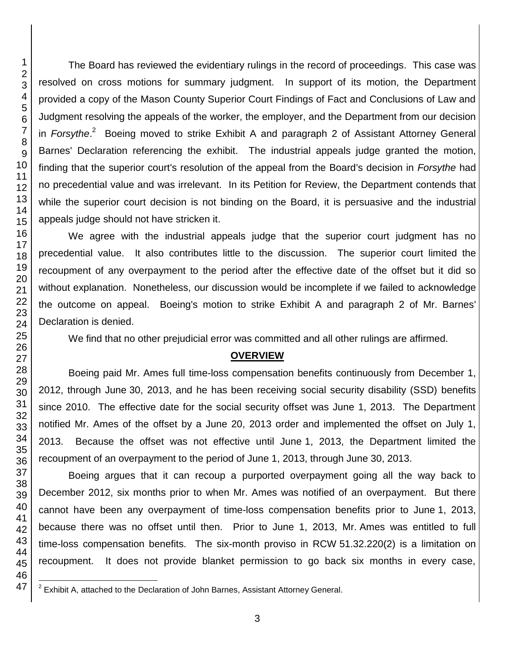The Board has reviewed the evidentiary rulings in the record of proceedings. This case was resolved on cross motions for summary judgment. In support of its motion, the Department provided a copy of the Mason County Superior Court Findings of Fact and Conclusions of Law and Judgment resolving the appeals of the worker, the employer, and the Department from our decision in *Forsythe.*<sup>2</sup> Boeing moved to strike Exhibit A and paragraph 2 of Assistant Attorney General Barnes' Declaration referencing the exhibit. The industrial appeals judge granted the motion, finding that the superior court's resolution of the appeal from the Board's decision in *Forsythe* had no precedential value and was irrelevant. In its Petition for Review, the Department contends that while the superior court decision is not binding on the Board, it is persuasive and the industrial appeals judge should not have stricken it.

We agree with the industrial appeals judge that the superior court judgment has no precedential value. It also contributes little to the discussion. The superior court limited the recoupment of any overpayment to the period after the effective date of the offset but it did so without explanation. Nonetheless, our discussion would be incomplete if we failed to acknowledge the outcome on appeal. Boeing's motion to strike Exhibit A and paragraph 2 of Mr. Barnes' Declaration is denied.

We find that no other prejudicial error was committed and all other rulings are affirmed.

## **OVERVIEW**

Boeing paid Mr. Ames full time-loss compensation benefits continuously from December 1, 2012, through June 30, 2013, and he has been receiving social security disability (SSD) benefits since 2010. The effective date for the social security offset was June 1, 2013. The Department notified Mr. Ames of the offset by a June 20, 2013 order and implemented the offset on July 1, 2013. Because the offset was not effective until June 1, 2013, the Department limited the recoupment of an overpayment to the period of June 1, 2013, through June 30, 2013.

Boeing argues that it can recoup a purported overpayment going all the way back to December 2012, six months prior to when Mr. Ames was notified of an overpayment. But there cannot have been any overpayment of time-loss compensation benefits prior to June 1, 2013, because there was no offset until then. Prior to June 1, 2013, Mr. Ames was entitled to full time-loss compensation benefits. The six-month proviso in RCW 51.32.220(2) is a limitation on recoupment. It does not provide blanket permission to go back six months in every case,

Exhibit A, attached to the Declaration of John Barnes, Assistant Attorney General.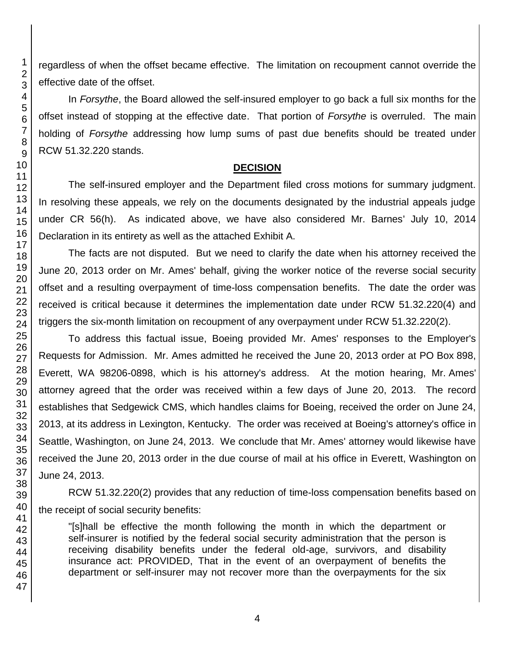regardless of when the offset became effective. The limitation on recoupment cannot override the effective date of the offset.

In *Forsythe*, the Board allowed the self-insured employer to go back a full six months for the offset instead of stopping at the effective date. That portion of *Forsythe* is overruled. The main holding of *Forsythe* addressing how lump sums of past due benefits should be treated under RCW 51.32.220 stands.

### **DECISION**

The self-insured employer and the Department filed cross motions for summary judgment. In resolving these appeals, we rely on the documents designated by the industrial appeals judge under CR 56(h). As indicated above, we have also considered Mr. Barnes' July 10, 2014 Declaration in its entirety as well as the attached Exhibit A.

The facts are not disputed. But we need to clarify the date when his attorney received the June 20, 2013 order on Mr. Ames' behalf, giving the worker notice of the reverse social security offset and a resulting overpayment of time-loss compensation benefits. The date the order was received is critical because it determines the implementation date under RCW 51.32.220(4) and triggers the six-month limitation on recoupment of any overpayment under RCW 51.32.220(2).

To address this factual issue, Boeing provided Mr. Ames' responses to the Employer's Requests for Admission. Mr. Ames admitted he received the June 20, 2013 order at PO Box 898, Everett, WA 98206-0898, which is his attorney's address. At the motion hearing, Mr. Ames' attorney agreed that the order was received within a few days of June 20, 2013. The record establishes that Sedgewick CMS, which handles claims for Boeing, received the order on June 24, 2013, at its address in Lexington, Kentucky. The order was received at Boeing's attorney's office in Seattle, Washington, on June 24, 2013. We conclude that Mr. Ames' attorney would likewise have received the June 20, 2013 order in the due course of mail at his office in Everett, Washington on June 24, 2013.

RCW 51.32.220(2) provides that any reduction of time-loss compensation benefits based on the receipt of social security benefits:

"[s]hall be effective the month following the month in which the department or self-insurer is notified by the federal social security administration that the person is receiving disability benefits under the federal old-age, survivors, and disability insurance act: PROVIDED, That in the event of an overpayment of benefits the department or self-insurer may not recover more than the overpayments for the six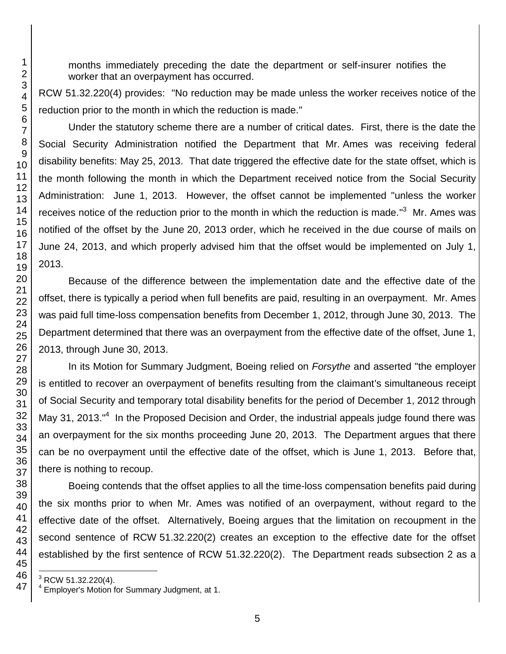months immediately preceding the date the department or self-insurer notifies the worker that an overpayment has occurred.

RCW 51.32.220(4) provides: "No reduction may be made unless the worker receives notice of the reduction prior to the month in which the reduction is made."

Under the statutory scheme there are a number of critical dates. First, there is the date the Social Security Administration notified the Department that Mr. Ames was receiving federal disability benefits: May 25, 2013. That date triggered the effective date for the state offset, which is the month following the month in which the Department received notice from the Social Security Administration: June 1, 2013. However, the offset cannot be implemented "unless the worker receives notice of the reduction prior to the month in which the reduction is made."<sup>3</sup> Mr. Ames was notified of the offset by the June 20, 2013 order, which he received in the due course of mails on June 24, 2013, and which properly advised him that the offset would be implemented on July 1, 2013.

Because of the difference between the implementation date and the effective date of the offset, there is typically a period when full benefits are paid, resulting in an overpayment. Mr. Ames was paid full time-loss compensation benefits from December 1, 2012, through June 30, 2013. The Department determined that there was an overpayment from the effective date of the offset, June 1, 2013, through June 30, 2013.

In its Motion for Summary Judgment, Boeing relied on *Forsythe* and asserted "the employer is entitled to recover an overpayment of benefits resulting from the claimant's simultaneous receipt of Social Security and temporary total disability benefits for the period of December 1, 2012 through May 31, 2013."<sup>4</sup> In the Proposed Decision and Order, the industrial appeals judge found there was an overpayment for the six months proceeding June 20, 2013. The Department argues that there can be no overpayment until the effective date of the offset, which is June 1, 2013. Before that, there is nothing to recoup.

Boeing contends that the offset applies to all the time-loss compensation benefits paid during the six months prior to when Mr. Ames was notified of an overpayment, without regard to the effective date of the offset. Alternatively, Boeing argues that the limitation on recoupment in the second sentence of RCW 51.32.220(2) creates an exception to the effective date for the offset established by the first sentence of RCW 51.32.220(2). The Department reads subsection 2 as a

l RCW 51.32.220(4).

 Employer's Motion for Summary Judgment, at 1.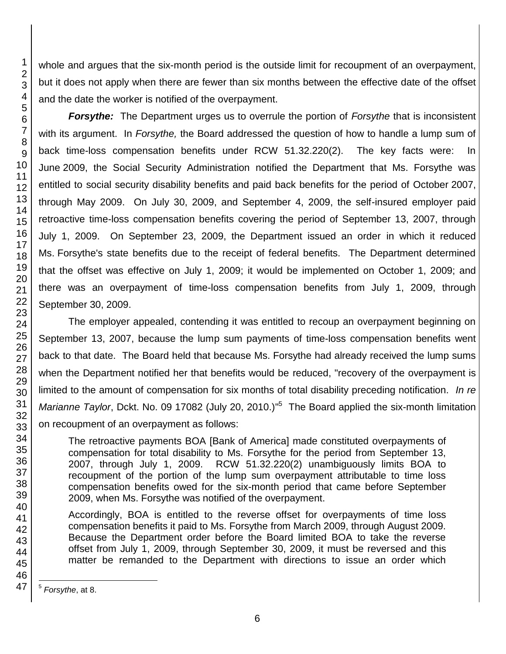whole and argues that the six-month period is the outside limit for recoupment of an overpayment, but it does not apply when there are fewer than six months between the effective date of the offset and the date the worker is notified of the overpayment.

*Forsythe:* The Department urges us to overrule the portion of *Forsythe* that is inconsistent with its argument. In *Forsythe,* the Board addressed the question of how to handle a lump sum of back time-loss compensation benefits under RCW 51.32.220(2). The key facts were: In June 2009, the Social Security Administration notified the Department that Ms. Forsythe was entitled to social security disability benefits and paid back benefits for the period of October 2007, through May 2009. On July 30, 2009, and September 4, 2009, the self-insured employer paid retroactive time-loss compensation benefits covering the period of September 13, 2007, through July 1, 2009. On September 23, 2009, the Department issued an order in which it reduced Ms. Forsythe's state benefits due to the receipt of federal benefits. The Department determined that the offset was effective on July 1, 2009; it would be implemented on October 1, 2009; and there was an overpayment of time-loss compensation benefits from July 1, 2009, through September 30, 2009.

The employer appealed, contending it was entitled to recoup an overpayment beginning on September 13, 2007, because the lump sum payments of time-loss compensation benefits went back to that date. The Board held that because Ms. Forsythe had already received the lump sums when the Department notified her that benefits would be reduced, "recovery of the overpayment is limited to the amount of compensation for six months of total disability preceding notification. *In re*  Marianne Taylor, Dckt. No. 09 17082 (July 20, 2010.)<sup>15</sup> The Board applied the six-month limitation on recoupment of an overpayment as follows:

The retroactive payments BOA [Bank of America] made constituted overpayments of compensation for total disability to Ms. Forsythe for the period from September 13, 2007, through July 1, 2009. RCW 51.32.220(2) unambiguously limits BOA to recoupment of the portion of the lump sum overpayment attributable to time loss compensation benefits owed for the six-month period that came before September 2009, when Ms. Forsythe was notified of the overpayment.

Accordingly, BOA is entitled to the reverse offset for overpayments of time loss compensation benefits it paid to Ms. Forsythe from March 2009, through August 2009. Because the Department order before the Board limited BOA to take the reverse offset from July 1, 2009, through September 30, 2009, it must be reversed and this matter be remanded to the Department with directions to issue an order which

1

<sup>2</sup> 3 4 5 6 7 8 9 10 11 12 13 14 15 16 17 18 19 20 21 22 23 24 25 26 27 28 29 30 31 32 33 34 35 36 37 38 39 40 41 42 43 44 45 46 47

 5 *Forsythe*, at 8.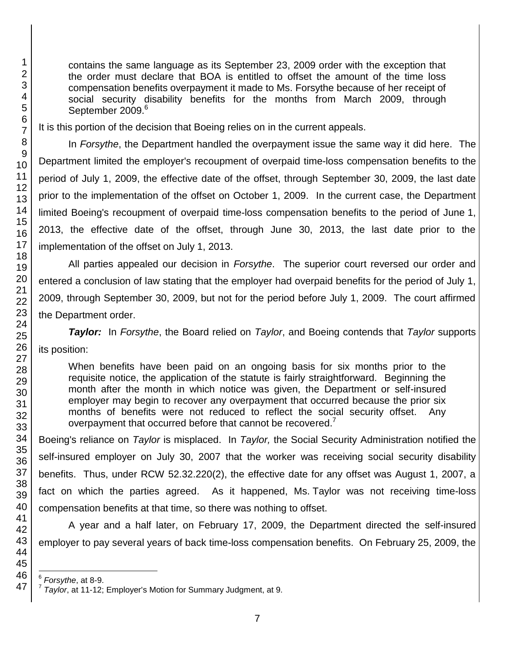contains the same language as its September 23, 2009 order with the exception that the order must declare that BOA is entitled to offset the amount of the time loss compensation benefits overpayment it made to Ms. Forsythe because of her receipt of social security disability benefits for the months from March 2009, through September 2009.<sup>6</sup>

It is this portion of the decision that Boeing relies on in the current appeals.

In *Forsythe*, the Department handled the overpayment issue the same way it did here. The Department limited the employer's recoupment of overpaid time-loss compensation benefits to the period of July 1, 2009, the effective date of the offset, through September 30, 2009, the last date prior to the implementation of the offset on October 1, 2009. In the current case, the Department limited Boeing's recoupment of overpaid time-loss compensation benefits to the period of June 1, 2013, the effective date of the offset, through June 30, 2013, the last date prior to the implementation of the offset on July 1, 2013.

All parties appealed our decision in *Forsythe*. The superior court reversed our order and entered a conclusion of law stating that the employer had overpaid benefits for the period of July 1, 2009, through September 30, 2009, but not for the period before July 1, 2009. The court affirmed the Department order.

*Taylor:* In *Forsythe*, the Board relied on *Taylor*, and Boeing contends that *Taylor* supports its position:

When benefits have been paid on an ongoing basis for six months prior to the requisite notice, the application of the statute is fairly straightforward. Beginning the month after the month in which notice was given, the Department or self-insured employer may begin to recover any overpayment that occurred because the prior six months of benefits were not reduced to reflect the social security offset. Any overpayment that occurred before that cannot be recovered.<sup>7</sup>

Boeing's reliance on *Taylor* is misplaced. In *Taylor,* the Social Security Administration notified the self-insured employer on July 30, 2007 that the worker was receiving social security disability benefits. Thus, under RCW 52.32.220(2), the effective date for any offset was August 1, 2007, a fact on which the parties agreed. As it happened, Ms. Taylor was not receiving time-loss compensation benefits at that time, so there was nothing to offset.

A year and a half later, on February 17, 2009, the Department directed the self-insured employer to pay several years of back time-loss compensation benefits. On February 25, 2009, the

l

<sup>6</sup> *Forsythe*, at 8-9.

<sup>7</sup> *Taylor*, at 11-12; Employer's Motion for Summary Judgment, at 9.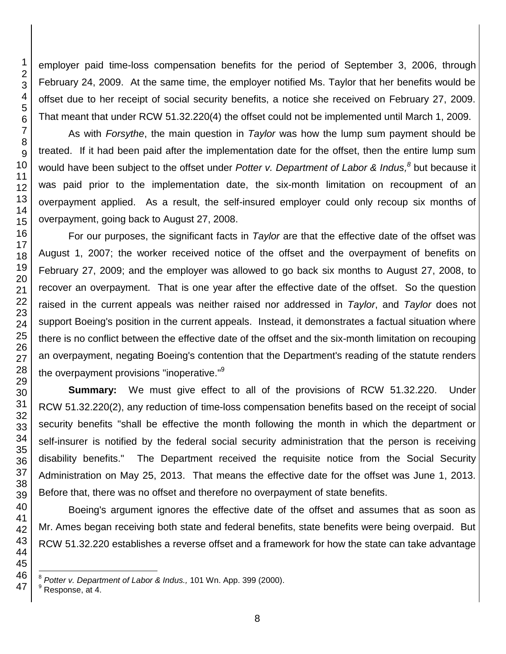employer paid time-loss compensation benefits for the period of September 3, 2006, through February 24, 2009. At the same time, the employer notified Ms. Taylor that her benefits would be offset due to her receipt of social security benefits, a notice she received on February 27, 2009. That meant that under RCW 51.32.220(4) the offset could not be implemented until March 1, 2009.

As with *Forsythe*, the main question in *Taylor* was how the lump sum payment should be treated. If it had been paid after the implementation date for the offset, then the entire lump sum would have been subject to the offset under *Potter v. Department of Labor & Indus, 8* but because it was paid prior to the implementation date, the six-month limitation on recoupment of an overpayment applied. As a result, the self-insured employer could only recoup six months of overpayment, going back to August 27, 2008.

For our purposes, the significant facts in *Taylor* are that the effective date of the offset was August 1, 2007; the worker received notice of the offset and the overpayment of benefits on February 27, 2009; and the employer was allowed to go back six months to August 27, 2008, to recover an overpayment. That is one year after the effective date of the offset. So the question raised in the current appeals was neither raised nor addressed in *Taylor*, and *Taylor* does not support Boeing's position in the current appeals. Instead, it demonstrates a factual situation where there is no conflict between the effective date of the offset and the six-month limitation on recouping an overpayment, negating Boeing's contention that the Department's reading of the statute renders the overpayment provisions "inoperative."<sup>9</sup>

**Summary:** We must give effect to all of the provisions of RCW 51.32.220. Under RCW 51.32.220(2), any reduction of time-loss compensation benefits based on the receipt of social security benefits "shall be effective the month following the month in which the department or self-insurer is notified by the federal social security administration that the person is receiving disability benefits." The Department received the requisite notice from the Social Security Administration on May 25, 2013. That means the effective date for the offset was June 1, 2013. Before that, there was no offset and therefore no overpayment of state benefits.

Boeing's argument ignores the effective date of the offset and assumes that as soon as Mr. Ames began receiving both state and federal benefits, state benefits were being overpaid. But RCW 51.32.220 establishes a reverse offset and a framework for how the state can take advantage

l *Potter v. Department of Labor & Indus.,* 101 Wn. App. 399 (2000).

Response, at 4.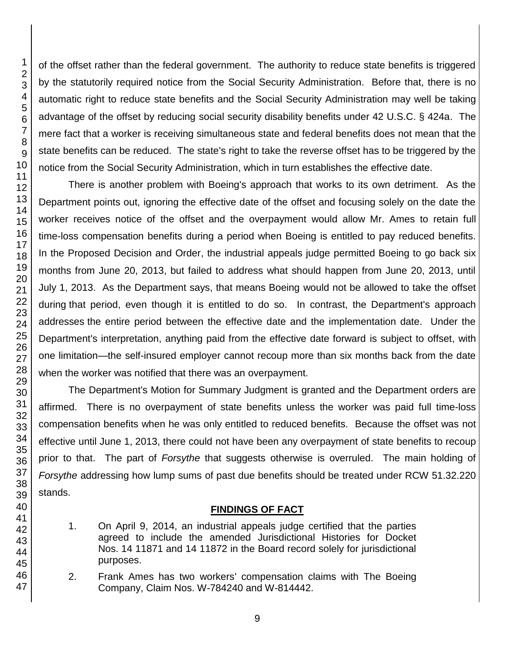of the offset rather than the federal government. The authority to reduce state benefits is triggered by the statutorily required notice from the Social Security Administration. Before that, there is no automatic right to reduce state benefits and the Social Security Administration may well be taking advantage of the offset by reducing social security disability benefits under 42 U.S.C. § 424a. The mere fact that a worker is receiving simultaneous state and federal benefits does not mean that the state benefits can be reduced. The state's right to take the reverse offset has to be triggered by the notice from the Social Security Administration, which in turn establishes the effective date.

There is another problem with Boeing's approach that works to its own detriment. As the Department points out, ignoring the effective date of the offset and focusing solely on the date the worker receives notice of the offset and the overpayment would allow Mr. Ames to retain full time-loss compensation benefits during a period when Boeing is entitled to pay reduced benefits. In the Proposed Decision and Order, the industrial appeals judge permitted Boeing to go back six months from June 20, 2013, but failed to address what should happen from June 20, 2013, until July 1, 2013. As the Department says, that means Boeing would not be allowed to take the offset during that period, even though it is entitled to do so. In contrast, the Department's approach addresses the entire period between the effective date and the implementation date. Under the Department's interpretation, anything paid from the effective date forward is subject to offset, with one limitation—the self-insured employer cannot recoup more than six months back from the date when the worker was notified that there was an overpayment.

The Department's Motion for Summary Judgment is granted and the Department orders are affirmed. There is no overpayment of state benefits unless the worker was paid full time-loss compensation benefits when he was only entitled to reduced benefits. Because the offset was not effective until June 1, 2013, there could not have been any overpayment of state benefits to recoup prior to that. The part of *Forsythe* that suggests otherwise is overruled. The main holding of *Forsythe* addressing how lump sums of past due benefits should be treated under RCW 51.32.220 stands.

## **FINDINGS OF FACT**

- 1. On April 9, 2014, an industrial appeals judge certified that the parties agreed to include the amended Jurisdictional Histories for Docket Nos. 14 11871 and 14 11872 in the Board record solely for jurisdictional purposes.
- 2. Frank Ames has two workers' compensation claims with The Boeing Company, Claim Nos. W-784240 and W-814442.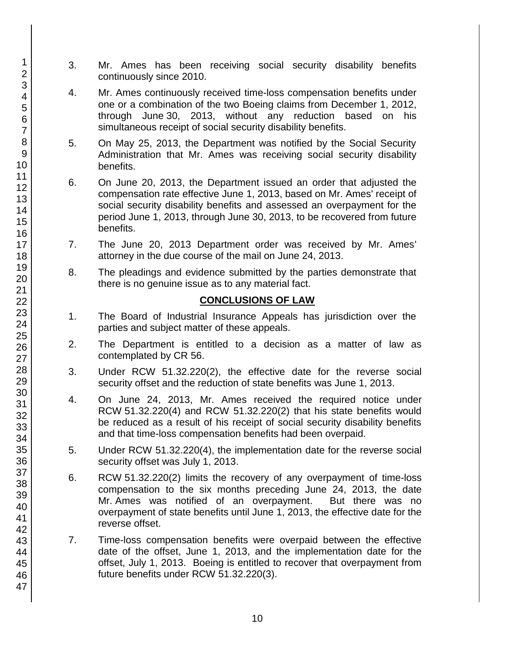- 3. Mr. Ames has been receiving social security disability benefits continuously since 2010.
- 4. Mr. Ames continuously received time-loss compensation benefits under one or a combination of the two Boeing claims from December 1, 2012, through June 30, 2013, without any reduction based on his simultaneous receipt of social security disability benefits.
- 5. On May 25, 2013, the Department was notified by the Social Security Administration that Mr. Ames was receiving social security disability benefits.
- 6. On June 20, 2013, the Department issued an order that adjusted the compensation rate effective June 1, 2013, based on Mr. Ames' receipt of social security disability benefits and assessed an overpayment for the period June 1, 2013, through June 30, 2013, to be recovered from future benefits.
- 7. The June 20, 2013 Department order was received by Mr. Ames' attorney in the due course of the mail on June 24, 2013.
- 8. The pleadings and evidence submitted by the parties demonstrate that there is no genuine issue as to any material fact.

### **CONCLUSIONS OF LAW**

- 1. The Board of Industrial Insurance Appeals has jurisdiction over the parties and subject matter of these appeals.
- 2. The Department is entitled to a decision as a matter of law as contemplated by CR 56.
- 3. Under RCW 51.32.220(2), the effective date for the reverse social security offset and the reduction of state benefits was June 1, 2013.
- 4. On June 24, 2013, Mr. Ames received the required notice under RCW 51.32.220(4) and RCW 51.32.220(2) that his state benefits would be reduced as a result of his receipt of social security disability benefits and that time-loss compensation benefits had been overpaid.
- 5. Under RCW 51.32.220(4), the implementation date for the reverse social security offset was July 1, 2013.
- 6. RCW 51.32.220(2) limits the recovery of any overpayment of time-loss compensation to the six months preceding June 24, 2013, the date Mr. Ames was notified of an overpayment. But there was no overpayment of state benefits until June 1, 2013, the effective date for the reverse offset.
- 7. Time-loss compensation benefits were overpaid between the effective date of the offset, June 1, 2013, and the implementation date for the offset, July 1, 2013. Boeing is entitled to recover that overpayment from future benefits under RCW 51.32.220(3).